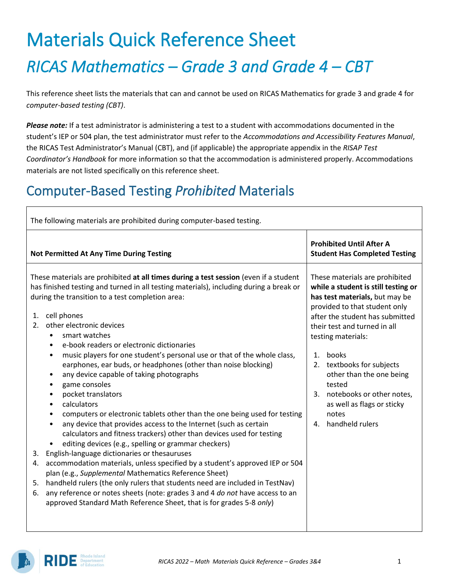# Materials Quick Reference Sheet *RICAS Mathematics – Grade 3 and Grade 4 – CBT*

This reference sheet lists the materials that can and cannot be used on RICAS Mathematics for grade 3 and grade 4 for *computer-based testing (CBT)*.

*Please note:* If a test administrator is administering a test to a student with accommodations documented in the student's IEP or 504 plan, the test administrator must refer to the *Accommodations and Accessibility Features Manual*, the RICAS Test Administrator's Manual (CBT), and (if applicable) the appropriate appendix in the *RISAP Test Coordinator's Handbook* for more information so that the accommodation is administered properly. Accommodations materials are not listed specifically on this reference sheet.

### Computer-Based Testing *Prohibited* Materials

| The following materials are prohibited during computer-based testing.                                                                                                                                                                                                                                                                                                                                                                                                                                                                                                                                                                                                                                                                                                                                                                                                                                                                                                                                                                                                                                                                                                                                                                                                                                                                                                                                                                         |                                                                                                                                                                                                                                                                                                                                                                                                                  |  |  |  |
|-----------------------------------------------------------------------------------------------------------------------------------------------------------------------------------------------------------------------------------------------------------------------------------------------------------------------------------------------------------------------------------------------------------------------------------------------------------------------------------------------------------------------------------------------------------------------------------------------------------------------------------------------------------------------------------------------------------------------------------------------------------------------------------------------------------------------------------------------------------------------------------------------------------------------------------------------------------------------------------------------------------------------------------------------------------------------------------------------------------------------------------------------------------------------------------------------------------------------------------------------------------------------------------------------------------------------------------------------------------------------------------------------------------------------------------------------|------------------------------------------------------------------------------------------------------------------------------------------------------------------------------------------------------------------------------------------------------------------------------------------------------------------------------------------------------------------------------------------------------------------|--|--|--|
| <b>Not Permitted At Any Time During Testing</b>                                                                                                                                                                                                                                                                                                                                                                                                                                                                                                                                                                                                                                                                                                                                                                                                                                                                                                                                                                                                                                                                                                                                                                                                                                                                                                                                                                                               | <b>Prohibited Until After A</b><br><b>Student Has Completed Testing</b>                                                                                                                                                                                                                                                                                                                                          |  |  |  |
| These materials are prohibited at all times during a test session (even if a student<br>has finished testing and turned in all testing materials), including during a break or<br>during the transition to a test completion area:<br>cell phones<br>1.<br>other electronic devices<br>$2^{\circ}$<br>smart watches<br>$\bullet$<br>e-book readers or electronic dictionaries<br>$\bullet$<br>music players for one student's personal use or that of the whole class,<br>$\bullet$<br>earphones, ear buds, or headphones (other than noise blocking)<br>any device capable of taking photographs<br>٠<br>game consoles<br>$\bullet$<br>pocket translators<br>calculators<br>$\bullet$<br>computers or electronic tablets other than the one being used for testing<br>٠<br>any device that provides access to the Internet (such as certain<br>calculators and fitness trackers) other than devices used for testing<br>editing devices (e.g., spelling or grammar checkers)<br>$\bullet$<br>English-language dictionaries or thesauruses<br>3.<br>accommodation materials, unless specified by a student's approved IEP or 504<br>4.<br>plan (e.g., Supplemental Mathematics Reference Sheet)<br>5. handheld rulers (the only rulers that students need are included in TestNav)<br>6. any reference or notes sheets (note: grades 3 and 4 do not have access to an<br>approved Standard Math Reference Sheet, that is for grades 5-8 only) | These materials are prohibited<br>while a student is still testing or<br>has test materials, but may be<br>provided to that student only<br>after the student has submitted<br>their test and turned in all<br>testing materials:<br>books<br>1.<br>2. textbooks for subjects<br>other than the one being<br>tested<br>3. notebooks or other notes,<br>as well as flags or sticky<br>notes<br>4. handheld rulers |  |  |  |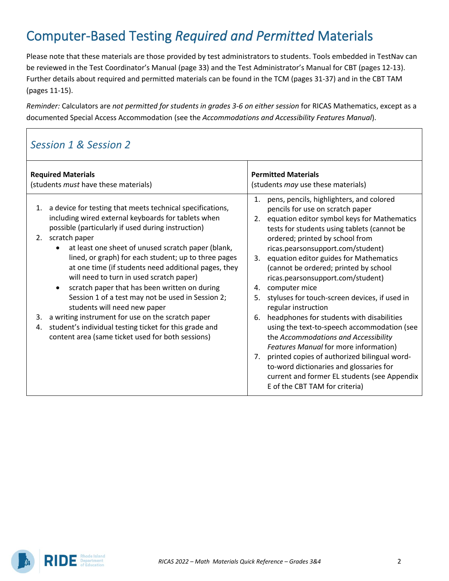### Computer-Based Testing *Required and Permitted* Materials

Please note that these materials are those provided by test administrators to students. Tools embedded in TestNav can be reviewed in the Test Coordinator's Manual (page 33) and the Test Administrator's Manual for CBT (pages 12-13). Further details about required and permitted materials can be found in the TCM (pages 31-37) and in the CBT TAM (pages 11-15).

*Reminder:* Calculators are *not permitted for students in grades 3-6 on either session* for RICAS Mathematics, except as a documented Special Access Accommodation (see the *Accommodations and Accessibility Features Manual*).

#### *Session 1 & Session 2*

| <b>Required Materials</b>                                                                                                                                                                                                                                                                                                                                                                                                                                                                                                                                                                                                                                                                                                                                             | <b>Permitted Materials</b>                                                                                                                                                                                                                                                                                                                                                                                                                                                                                                                                                                                                                                                                                                                                                                                                                                           |
|-----------------------------------------------------------------------------------------------------------------------------------------------------------------------------------------------------------------------------------------------------------------------------------------------------------------------------------------------------------------------------------------------------------------------------------------------------------------------------------------------------------------------------------------------------------------------------------------------------------------------------------------------------------------------------------------------------------------------------------------------------------------------|----------------------------------------------------------------------------------------------------------------------------------------------------------------------------------------------------------------------------------------------------------------------------------------------------------------------------------------------------------------------------------------------------------------------------------------------------------------------------------------------------------------------------------------------------------------------------------------------------------------------------------------------------------------------------------------------------------------------------------------------------------------------------------------------------------------------------------------------------------------------|
| (students <i>must</i> have these materials)                                                                                                                                                                                                                                                                                                                                                                                                                                                                                                                                                                                                                                                                                                                           | (students <i>may</i> use these materials)                                                                                                                                                                                                                                                                                                                                                                                                                                                                                                                                                                                                                                                                                                                                                                                                                            |
| a device for testing that meets technical specifications,<br>1.<br>including wired external keyboards for tablets when<br>possible (particularly if used during instruction)<br>scratch paper<br>2.<br>at least one sheet of unused scratch paper (blank,<br>$\bullet$<br>lined, or graph) for each student; up to three pages<br>at one time (if students need additional pages, they<br>will need to turn in used scratch paper)<br>scratch paper that has been written on during<br>$\bullet$<br>Session 1 of a test may not be used in Session 2;<br>students will need new paper<br>a writing instrument for use on the scratch paper<br>3.<br>student's individual testing ticket for this grade and<br>4.<br>content area (same ticket used for both sessions) | pens, pencils, highlighters, and colored<br>1.<br>pencils for use on scratch paper<br>2. equation editor symbol keys for Mathematics<br>tests for students using tablets (cannot be<br>ordered; printed by school from<br>ricas.pearsonsupport.com/student)<br>equation editor guides for Mathematics<br>3.<br>(cannot be ordered; printed by school<br>ricas.pearsonsupport.com/student)<br>computer mice<br>4.<br>styluses for touch-screen devices, if used in<br>5.<br>regular instruction<br>headphones for students with disabilities<br>6.<br>using the text-to-speech accommodation (see<br>the Accommodations and Accessibility<br>Features Manual for more information)<br>printed copies of authorized bilingual word-<br>7.<br>to-word dictionaries and glossaries for<br>current and former EL students (see Appendix<br>E of the CBT TAM for criteria) |

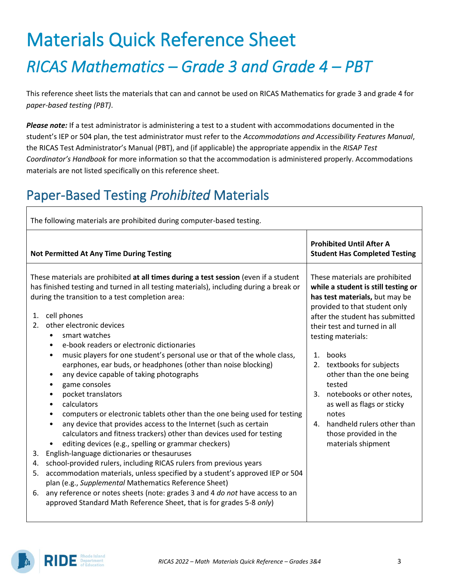# Materials Quick Reference Sheet *RICAS Mathematics – Grade 3 and Grade 4 – PBT*

This reference sheet lists the materials that can and cannot be used on RICAS Mathematics for grade 3 and grade 4 for *paper-based testing (PBT)*.

*Please note:* If a test administrator is administering a test to a student with accommodations documented in the student's IEP or 504 plan, the test administrator must refer to the *Accommodations and Accessibility Features Manual*, the RICAS Test Administrator's Manual (PBT), and (if applicable) the appropriate appendix in the *RISAP Test Coordinator's Handbook* for more information so that the accommodation is administered properly. Accommodations materials are not listed specifically on this reference sheet.

### Paper-Based Testing *Prohibited* Materials

| The following materials are prohibited during computer-based testing.                                                                                                                                                                                                                                                                                                                                                                                                                                                                                                                                                                                                                                                                                                                                                                                                                                                                                                                                                                                                                                                                                                                                                                                                                                                                                                                                                 |                                                                                                                                                                                                                                                                                                                                                                                                                                                                                 |  |  |
|-----------------------------------------------------------------------------------------------------------------------------------------------------------------------------------------------------------------------------------------------------------------------------------------------------------------------------------------------------------------------------------------------------------------------------------------------------------------------------------------------------------------------------------------------------------------------------------------------------------------------------------------------------------------------------------------------------------------------------------------------------------------------------------------------------------------------------------------------------------------------------------------------------------------------------------------------------------------------------------------------------------------------------------------------------------------------------------------------------------------------------------------------------------------------------------------------------------------------------------------------------------------------------------------------------------------------------------------------------------------------------------------------------------------------|---------------------------------------------------------------------------------------------------------------------------------------------------------------------------------------------------------------------------------------------------------------------------------------------------------------------------------------------------------------------------------------------------------------------------------------------------------------------------------|--|--|
| <b>Not Permitted At Any Time During Testing</b>                                                                                                                                                                                                                                                                                                                                                                                                                                                                                                                                                                                                                                                                                                                                                                                                                                                                                                                                                                                                                                                                                                                                                                                                                                                                                                                                                                       | <b>Prohibited Until After A</b><br><b>Student Has Completed Testing</b>                                                                                                                                                                                                                                                                                                                                                                                                         |  |  |
| These materials are prohibited at all times during a test session (even if a student<br>has finished testing and turned in all testing materials), including during a break or<br>during the transition to a test completion area:<br>cell phones<br>1.<br>other electronic devices<br>2.<br>smart watches<br>$\bullet$<br>e-book readers or electronic dictionaries<br>music players for one student's personal use or that of the whole class,<br>٠<br>earphones, ear buds, or headphones (other than noise blocking)<br>any device capable of taking photographs<br>٠<br>game consoles<br>٠<br>pocket translators<br>calculators<br>$\bullet$<br>computers or electronic tablets other than the one being used for testing<br>$\bullet$<br>any device that provides access to the Internet (such as certain<br>$\bullet$<br>calculators and fitness trackers) other than devices used for testing<br>editing devices (e.g., spelling or grammar checkers)<br>$\bullet$<br>English-language dictionaries or thesauruses<br>3.<br>school-provided rulers, including RICAS rulers from previous years<br>4.<br>accommodation materials, unless specified by a student's approved IEP or 504<br>5.<br>plan (e.g., Supplemental Mathematics Reference Sheet)<br>6. any reference or notes sheets (note: grades 3 and 4 do not have access to an<br>approved Standard Math Reference Sheet, that is for grades 5-8 only) | These materials are prohibited<br>while a student is still testing or<br>has test materials, but may be<br>provided to that student only<br>after the student has submitted<br>their test and turned in all<br>testing materials:<br>books<br>$1_{-}$<br>2. textbooks for subjects<br>other than the one being<br>tested<br>3. notebooks or other notes,<br>as well as flags or sticky<br>notes<br>4. handheld rulers other than<br>those provided in the<br>materials shipment |  |  |